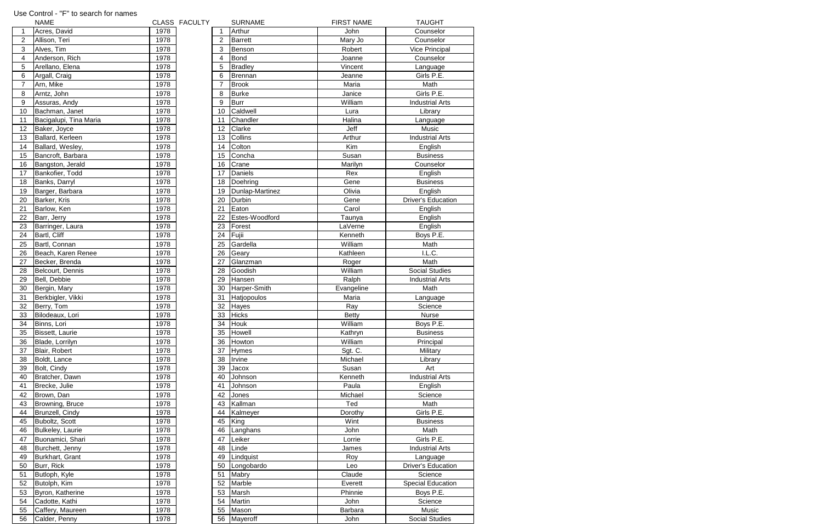|                | <b>NAME</b>                       |              | CLASS FACULTY |                | <b>SURNAME</b>    | <b>FIRST NAME</b> | <b>TAUGHT</b>                  |
|----------------|-----------------------------------|--------------|---------------|----------------|-------------------|-------------------|--------------------------------|
| $\mathbf{1}$   | Acres, David                      | 1978         |               |                | Arthur            | John              | Counselor                      |
| $\overline{c}$ | Allison, Teri                     | 1978         |               | $\overline{2}$ | <b>Barrett</b>    | Mary Jo           | Counselor                      |
| 3              | Alves, Tim                        | 1978         |               | 3              | Benson            | Robert            | Vice Principal                 |
| 4              | Anderson, Rich                    | 1978         |               | 4              | <b>Bond</b>       | Joanne            | Counselor                      |
| 5              | Arellano, Elena                   | 1978         |               | 5              | <b>Bradley</b>    | Vincent           | Language                       |
| 6              | Argall, Craig                     | 1978         |               | 6              | Brennan           | Jeanne            | Girls P.E.                     |
| 7              | Arn, Mike                         | 1978         |               | $\overline{7}$ | <b>Brook</b>      | Maria             | Math                           |
| 8              | Arntz, John                       | 1978         |               | 8              | <b>Burke</b>      | Janice            | Girls P.E.                     |
| 9              | Assuras, Andy                     | 1978         |               | 9              | <b>Burr</b>       | William           | <b>Industrial Arts</b>         |
| 10             | Bachman, Janet                    | 1978         |               | 10             | Caldwell          | Lura              | Library                        |
| 11             | Bacigalupi, Tina Maria            | 1978         |               | 11             | Chandler          | Halina            | Language                       |
| 12             | Baker, Joyce                      | 1978         |               | 12             | Clarke            | Jeff              | Music                          |
| 13             | Ballard, Kerleen                  | 1978         |               | 13             | Collins           | Arthur            | <b>Industrial Arts</b>         |
| 14             | Ballard, Wesley,                  | 1978         |               | 14             | Colton            | Kim               | English                        |
| 15             | Bancroft, Barbara                 | 1978         |               | 15             | Concha            | Susan             | <b>Business</b>                |
| 16             | Bangston, Jerald                  | 1978         |               | 16             | Crane             | Marilyn           | Counselor                      |
| 17             | Bankofier, Todd                   | 1978         |               | 17             | Daniels           | Rex               |                                |
|                |                                   |              |               |                |                   |                   | English                        |
| 18             | Banks, Darryl                     | 1978         |               | 18             | Doehring          | Gene              | <b>Business</b>                |
| 19             | Barger, Barbara                   | 1978         |               | 19             | Dunlap-Martinez   | Olivia            | English                        |
| 20             | Barker, Kris                      | 1978         |               | 20             | Durbin            | Gene              | <b>Driver's Education</b>      |
| 21             | Barlow, Ken                       | 1978         |               | 21             | Eaton             | Carol             | English                        |
| 22             | Barr, Jerry                       | 1978         |               | 22             | Estes-Woodford    | Taunya            | English                        |
| 23             | Barringer, Laura                  | 1978         |               | 23             | Forest            | LaVerne           | English                        |
| 24             | Bartl, Cliff                      | 1978         |               | 24             | Fujii             | Kenneth           | Boys P.E.                      |
| 25             | Bartl, Connan                     | 1978         |               | 25             | Gardella          | William           | Math                           |
| 26             | Beach, Karen Renee                | 1978         |               | 26             | Geary             | Kathleen          | I.L.C.                         |
| 27             | Becker, Brenda                    | 1978         |               | 27             | Glanzman          | Roger             | Math                           |
| 28             | Belcourt, Dennis                  | 1978         |               | 28             | Goodish           | William           | <b>Social Studies</b>          |
| 29             | Bell, Debbie                      | 1978         |               | 29             | Hansen            | Ralph             | <b>Industrial Arts</b>         |
| 30             | Bergin, Mary                      | 1978         |               | 30             | Harper-Smith      | Evangeline        | Math                           |
| 31             | Berkbigler, Vikki                 | 1978         |               | 31             | Hatjopoulos       | Maria             | Language                       |
| 32             | Berry, Tom                        | 1978         |               | 32             | Hayes             | Ray               | Science                        |
| 33             | Bilodeaux, Lori                   | 1978         |               | 33             | <b>Hicks</b>      | <b>Betty</b>      | Nurse                          |
| 34             | Binns, Lori                       | 1978         |               | 34             | Houk              | William           | Boys P.E.                      |
| 35             | Bissett, Laurie                   | 1978         |               | 35             | Howell            | Kathryn           | <b>Business</b>                |
| 36             | Blade, Lorrilyn                   | 1978         |               | 36             | Howton            | William           | Principal                      |
| 37             | Blair, Robert                     | 1978         |               | 37             | <b>Hymes</b>      | Sgt. C.           | Military                       |
| 38             | Boldt, Lance                      | 1978         |               | 38             | Irvine            | Michael           | Library                        |
| 39             | Bolt, Cindy                       | 1978         |               | 39             | Jacox             | Susan             | Art                            |
| 40             | Bratcher, Dawn                    | 1978         |               | 40             | Johnson           | Kenneth           | <b>Industrial Arts</b>         |
| 41             | Brecke, Julie                     | 1978         |               | 41             | Johnson           | Paula             | English                        |
| 42             | Brown, Dan                        |              |               |                |                   |                   |                                |
| 43             |                                   |              |               |                |                   |                   |                                |
|                |                                   | 1978         |               | 42             | Jones             | Michael           | Science                        |
|                | Browning, Bruce                   | 1978         |               | 43             | Kallman           | Ted               | Math                           |
| 44             | Brunzell, Cindy                   | 1978         |               | 44             | Kalmeyer          | Dorothy           | Girls P.E.                     |
| 45             | Buboltz, Scott                    | 1978         |               | 45             | King              | Wint              | <b>Business</b>                |
| 46             | Bulkeley, Laurie                  | 1978         |               | 46             | Langhans          | John              | Math                           |
| 47             | Buonamici, Shari                  | 1978         |               | 47             | Leiker            | Lorrie            | Girls P.E.                     |
| 48             | Burchett, Jenny                   | 1978         |               | 48             | Linde             | James             | <b>Industrial Arts</b>         |
| 49             | Burkhart, Grant                   | 1978         |               | 49             | Lindquist         | Roy               | Language                       |
| 50             | Burr, Rick                        | 1978         |               | 50             | Longobardo        | Leo               | <b>Driver's Education</b>      |
| 51             | Butloph, Kyle                     | 1978         |               | 51             | Mabry             | Claude            | Science                        |
| 52             | Butolph, Kim                      | 1978         |               | 52             | Marble            | Everett           | <b>Special Education</b>       |
| 53             | Byron, Katherine                  | 1978         |               | 53             | Marsh             | Phinnie           | Boys P.E.                      |
| 54             | Cadotte, Kathi                    | 1978         |               | 54             | Martin            | John              | Science                        |
| 55<br>56       | Caffery, Maureen<br>Calder, Penny | 1978<br>1978 |               | 55<br>56       | Mason<br>Mayeroff | Barbara<br>John   | Music<br><b>Social Studies</b> |

## Use Control - "F" to search for names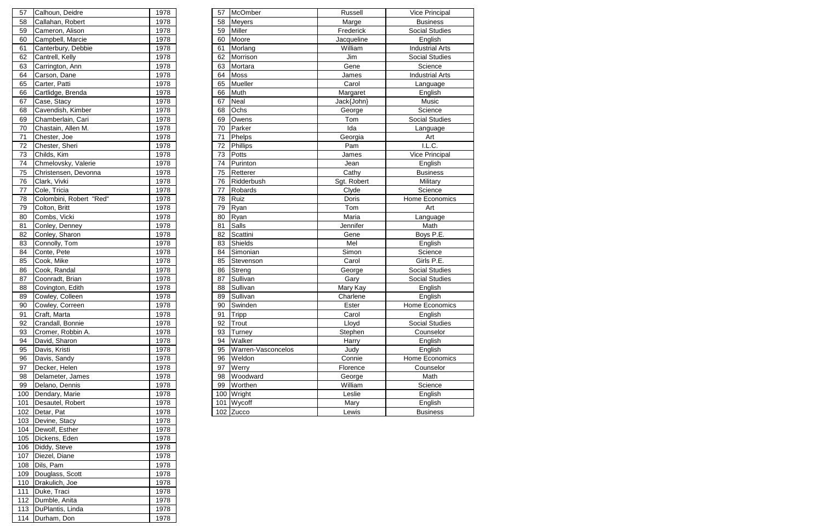| Calhoun, Deidre<br>Callahan, Robert<br>Cameron, Alison | 1978 | 57           |                    |                         |                        |
|--------------------------------------------------------|------|--------------|--------------------|-------------------------|------------------------|
|                                                        |      |              | McOmber            | Russell                 | Vice Principal         |
|                                                        | 1978 | 58           | <b>Meyers</b>      | Marge                   | <b>Business</b>        |
|                                                        | 1978 | 59           | Miller             | Frederick               | <b>Social Studies</b>  |
| Campbell, Marcie                                       | 1978 | 60           | Moore              | Jacqueline              | English                |
| Canterbury, Debbie                                     | 1978 | 61           | Morlang            | William                 | <b>Industrial Arts</b> |
| Cantrell, Kelly                                        | 1978 | 62           | Morrison           | Jim                     | Social Studies         |
| Carrington, Ann                                        | 1978 | 63           | Mortara            | Gene                    | Science                |
| Carson, Dane                                           |      | 64           |                    | James                   | <b>Industrial Arts</b> |
| Carter, Patti                                          | 1978 | 65           | Mueller            | Carol                   | Language               |
| Cartlidge, Brenda                                      | 1978 | 66           | Muth               | Margaret                | English                |
| Case, Stacy                                            | 1978 | 67           | Neal               | Jack{John}              | Music                  |
| Cavendish, Kimber                                      | 1978 | 68           | Ochs               | George                  | Science                |
| Chamberlain, Cari                                      | 1978 | 69           | Owens              | Tom                     | <b>Social Studies</b>  |
| Chastain, Allen M.                                     | 1978 | 70           | Parker             | Ida                     | Language               |
| Chester, Joe                                           | 1978 | 71           | Phelps             | Georgia                 | Art                    |
| Chester, Sheri                                         | 1978 | 72           | Phillips           | Pam                     | I.L.C.                 |
| Childs, Kim                                            | 1978 | 73           | Potts              | James                   | <b>Vice Principal</b>  |
| Chmelovsky, Valerie                                    | 1978 | 74           | Purinton           | Jean                    | English                |
| Christensen, Devonna                                   | 1978 | 75           | Retterer           | Cathy                   | <b>Business</b>        |
| Clark, Vivki                                           | 1978 | 76           | Ridderbush         | Sgt. Robert             | Military               |
| Cole, Tricia                                           | 1978 | 77           | Robards            | Clyde                   | Science                |
| Colombini, Robert "Red"                                | 1978 | 78           | Ruiz               | Doris                   | Home Economics         |
| Colton, Britt                                          | 1978 | 79           | Ryan               | Tom                     | Art                    |
| Combs, Vicki                                           | 1978 | 80           | Ryan               | Maria                   | Language               |
| Conley, Denney                                         | 1978 | 81           | Salls              | Jennifer                | Math                   |
| Conley, Sharon                                         | 1978 | 82           | Scattini           | Gene                    | Boys P.E.              |
| Connolly, Tom                                          | 1978 | 83           | <b>Shields</b>     | Mel                     | English                |
| Conte, Pete                                            | 1978 | 84           | Simonian           | Simon                   | Science                |
| Cook, Mike                                             | 1978 | 85           | Stevenson          | Carol                   | Girls P.E.             |
| Cook, Randal                                           | 1978 | 86           | Streng             | George                  | <b>Social Studies</b>  |
| Coonradt, Brian                                        | 1978 | 87           | Sullivan           | Gary                    | Social Studies         |
| Covington, Edith                                       |      | 88           |                    | Mary Kay                | English                |
| Cowley, Colleen                                        | 1978 | 89           | Sullivan           | Charlene                | English                |
| Cowley, Correen                                        | 1978 | 90           | Swinden            | Ester                   | Home Economics         |
| Craft, Marta                                           | 1978 | 91           | Tripp              | Carol                   | English                |
| Crandall, Bonnie                                       | 1978 | 92           | Trout              | Lloyd                   | Social Studies         |
| Cromer, Robbin A.                                      | 1978 | 93           | Turney             | Stephen                 | Counselor              |
| David, Sharon                                          | 1978 | 94           | Walker             | Harry                   | English                |
| Davis, Kristi                                          | 1978 | 95           | Warren-Vasconcelos | Judy                    | English                |
|                                                        | 1978 | 96           | Weldon             | Connie                  | Home Economics         |
| Davis, Sandy                                           |      |              |                    |                         |                        |
| Decker, Helen                                          | 1978 | 97           | Werry              | Florence                | Counselor              |
| Delameter, James                                       | 1978 | 98           | Woodward           | George                  | Math                   |
| Delano, Dennis                                         | 1978 | 99           | Worthen            | William                 | Science                |
| Dendary, Marie                                         | 1978 | 100          | Wright             | Leslie                  | English                |
| Desautel, Robert                                       | 1978 | 101          | Wycoff             | Mary                    | English                |
|                                                        |      | 1978<br>1978 |                    | <b>Moss</b><br>Sullivan |                        |

| 57         | Calhoun, Deidre                 | 1978         |
|------------|---------------------------------|--------------|
| 58         | Callahan, Robert                | 1978         |
| 59         | Cameron, Alison                 | 1978         |
| 60         | Campbell, Marcie                | 1978         |
| 61         | Canterbury, Debbie              | 1978         |
| 62         | Cantrell, Kelly                 | 1978         |
| 63         | Carrington, Ann                 | 1978         |
| 64         | Carson, Dane                    | 1978         |
| 65         | Carter, Patti                   | 1978         |
| 66         | Cartlidge, Brenda               | 1978         |
| 67         | Case, Stacy                     | 1978         |
| 68         | Cavendish, Kimber               | 1978         |
| 69         | Chamberlain, Cari               | 1978         |
| 70         | Chastain, Allen M.              | 1978         |
| 71         | Chester, Joe                    | 1978         |
| 72         | Chester, Sheri                  | 1978         |
| 73         | Childs, Kim                     | 1978         |
| 74         | Chmelovsky, Valerie             | 1978         |
| 75         | Christensen, Devonna            | 1978         |
| 76         | Clark, Vivki                    | 1978         |
| 77         | Cole, Tricia                    | 1978         |
| 78         | Colombini, Robert "Red"         | 1978         |
| 79         | Colton, Britt                   | 1978         |
| 80         | Combs, Vicki                    | 1978         |
| 81         | Conley, Denney                  | 1978         |
| 82         | Conley, Sharon                  | 1978         |
| 83         | Connolly, Tom                   | 1978         |
| 84         | Conte, Pete                     | 1978         |
| 85         | Cook, Mike                      | 1978         |
| 86         | Cook, Randal                    | 1978         |
| 87         | Coonradt, Brian                 | 1978         |
| 88         | Covington, Edith                | 1978         |
|            |                                 |              |
|            |                                 |              |
| 89         | Cowley, Colleen                 | 1978         |
| 90         | Cowley, Correen                 | 1978         |
| 91         | Craft, Marta                    | 1978         |
| 92         | Crandall, Bonnie                | 1978         |
| 93         | Cromer, Robbin A.               | 1978         |
| 94         | David, Sharon                   | 1978         |
| 95         | Davis, Kristi                   | 1978         |
| 96         | Davis, Sandy                    | 1978         |
| 97         | Decker, Helen                   | 1978         |
| 98         | Delameter, James                | 1978         |
| 99         | Delano, Dennis                  | 1978         |
| 100        | Dendary, Marie                  | 1978         |
| 101        | Desautel, Robert                | 1978         |
| 102        | Detar, Pat                      | 1978         |
| 103        | Devine, Stacy                   | 1978         |
| 104        | Dewolf, Esther                  | 1978         |
| 105        | Dickens, Eden                   | 1978         |
| 106        | Diddy, Steve                    | 1978         |
| 107        | Diezel, Diane                   | 1978         |
| 108        | Dils, Pam                       | 1978         |
| 109        | Douglass, Scott                 | 1978         |
| 110        | Drakulich, Joe                  | 1978         |
| 111        | Duke, Traci                     | 1978         |
| 112        | Dumble, Anita                   | 1978         |
| 113<br>114 | DuPlantis, Linda<br>Durham, Don | 1978<br>1978 |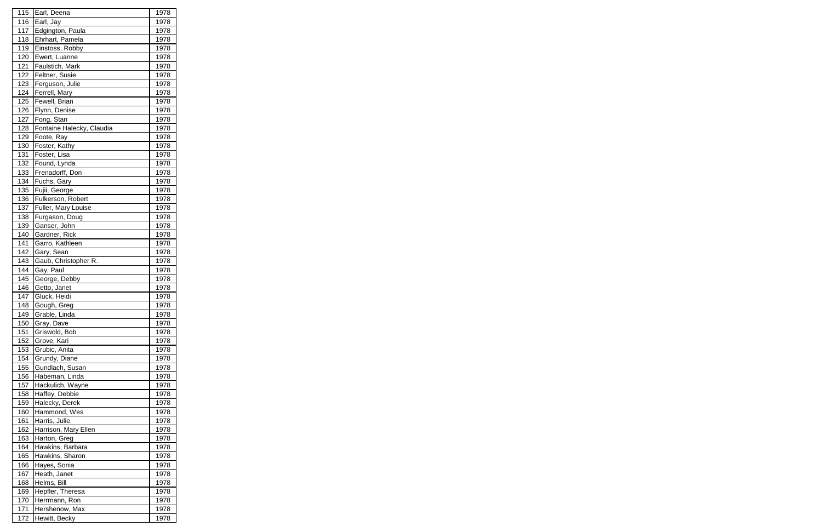| 115               | Earl, Deena                        | 1978         |
|-------------------|------------------------------------|--------------|
| 116               | Earl, Jay                          | 1978         |
| 117               | Edgington, Paula                   | 1978         |
| 118               | Ehrhart, Pamela                    | 1978         |
| 119               | Einstoss, Robby                    | 1978         |
| 120               | Ewert, Luanne                      | 1978         |
| 121               | Faulstich, Mark                    | 1978         |
| 122               | Feltner, Susie                     | 1978         |
| 123               | Ferguson, Julie                    | 1978         |
| 124               | Ferrell, Mary                      | 1978         |
| 125               | Fewell, Brian                      | 1978         |
| 126               | Flynn, Denise                      | 1978         |
| 127               | Fong, Stan                         | 1978         |
| 128               | Fontaine Halecky, Claudia          | 1978         |
| 129               | Foote, Ray                         | 1978         |
| 130               | Foster, Kathy                      | 1978         |
| 131               | Foster, Lisa                       | 1978         |
| 132               | Found, Lynda                       | 1978         |
| 133               | Frenadorff, Don                    | 1978         |
| 134               | Fuchs, Gary                        | 1978         |
| 135               | Fujii, George                      | 1978         |
| 136               | Fulkerson, Robert                  | 1978         |
| 137               | Fuller, Mary Louise                | 1978         |
| 138               | Furgason, Doug                     | 1978         |
| 139               | Ganser, John                       | 1978         |
| 140               | Gardner, Rick                      | 1978         |
| 141               | Garro, Kathleen                    | 1978         |
| 142               | Gary, Sean                         | 1978         |
| 143               | Gaub, Christopher R.               | 1978         |
| 144               | Gay, Paul                          | 1978         |
| 145               | George, Debby                      | 1978         |
| 146               | Getto, Janet                       | 1978         |
| 147               | Gluck, Heidi                       | 1978         |
|                   |                                    |              |
| <u>148</u><br>149 | Gough, Greg                        | <u>1978</u>  |
| 150               | Grable, Linda                      | 1978<br>1978 |
|                   | Gray, Dave<br>Griswold, Bob        | 1978         |
| 151               |                                    | 1978         |
| 152               | Grove, Kari                        |              |
| 153               | Grubic, Anita                      | 1978         |
| 154               | Grundy, Diane                      | 1978         |
| 155               | Gundlach, Susan                    | 1978         |
| 156               | Habeman, Linda<br>Hackulich, Wayne | 1978         |
| 157               |                                    | 1978         |
| 158               | Haffey, Debbie                     | 1978         |
| 159               | Halecky, Derek                     | 1978         |
| 160               | Hammond, Wes                       | 1978         |
| 161               | Harris, Julie                      | 1978         |
| 162               | Harrison, Mary Ellen               | 1978         |
| 163               | Harton, Greg                       | 1978         |
| 164               | Hawkins, Barbara                   | 1978         |
| 165               | Hawkins, Sharon                    | 1978         |
| 166               | Hayes, Sonia                       | 1978         |
| 167               | Heath, Janet                       | 1978         |
| 168               | Helms, Bill                        | 1978         |
| 169               | Hepfler, Theresa                   | 1978         |
| 170               | Herrmann, Ron                      | 1978         |
| 171               | Hershenow, Max                     | 1978         |
| 172               | Hewitt, Becky                      | 1978         |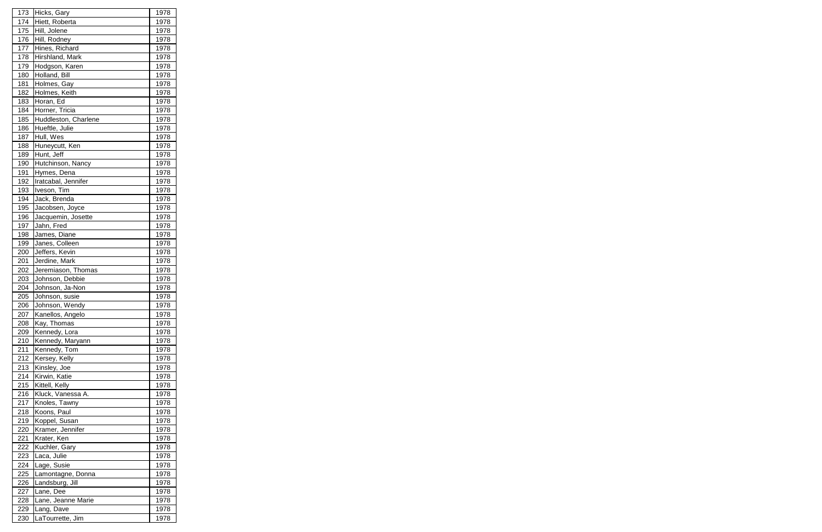| 173 | Hicks, Gary          | 1978 |
|-----|----------------------|------|
| 174 | Hiett, Roberta       | 1978 |
| 175 | Hill, Jolene         | 1978 |
| 176 | Hill, Rodney         | 1978 |
| 177 | Hines, Richard       | 1978 |
| 178 | Hirshland, Mark      | 1978 |
| 179 | Hodgson, Karen       | 1978 |
| 180 | Holland, Bill        | 1978 |
| 181 | Holmes, Gay          | 1978 |
| 182 | Holmes, Keith        | 1978 |
| 183 | Horan, Ed            | 1978 |
| 184 | Horner, Tricia       | 1978 |
| 185 | Huddleston, Charlene | 1978 |
| 186 | Hueftle, Julie       | 1978 |
| 187 | Hull, Wes            | 1978 |
| 188 | Huneycutt, Ken       | 1978 |
| 189 | Hunt, Jeff           | 1978 |
| 190 | Hutchinson, Nancy    | 1978 |
| 191 | Hymes, Dena          | 1978 |
| 192 | Iratcabal, Jennifer  | 1978 |
| 193 |                      |      |
|     | Iveson, Tim          | 1978 |
| 194 | Jack, Brenda         | 1978 |
| 195 | Jacobsen, Joyce      | 1978 |
| 196 | Jacquemin, Josette   | 1978 |
| 197 | Jahn, Fred           | 1978 |
| 198 | James, Diane         | 1978 |
| 199 | Janes, Colleen       | 1978 |
| 200 | Jeffers, Kevin       | 1978 |
| 201 | Jerdine, Mark        | 1978 |
| 202 | Jeremiason, Thomas   | 1978 |
| 203 | Johnson, Debbie      | 1978 |
| 204 | Johnson, Ja-Non      | 1978 |
| 205 | Johnson, susie       | 1978 |
| 206 | Johnson, Wendy       | 1978 |
| 207 | Kanellos, Angelo     | 1978 |
| 208 | Kay, Thomas          | 1978 |
| 209 | Kennedy, Lora        | 1978 |
| 210 | Kennedy, Maryann     | 1978 |
| 211 | Kennedy, Tom         | 1978 |
| 212 | Kersey, Kelly        | 1978 |
| 213 | Kinsley, Joe         | 1978 |
| 214 | Kirwin, Katie        | 1978 |
| 215 | Kittell, Kelly       | 1978 |
| 216 | Kluck, Vanessa A.    | 1978 |
| 217 | Knoles, Tawny        | 1978 |
| 218 | Koons, Paul          | 1978 |
| 219 | Koppel, Susan        | 1978 |
| 220 | Kramer, Jennifer     | 1978 |
| 221 | Krater, Ken          | 1978 |
| 222 | Kuchler, Gary        | 1978 |
| 223 | Laca, Julie          | 1978 |
| 224 | Lage, Susie          | 1978 |
| 225 | Lamontagne, Donna    | 1978 |
| 226 | Landsburg, Jill      | 1978 |
| 227 | Lane, Dee            | 1978 |
| 228 | Lane, Jeanne Marie   | 1978 |
| 229 | Lang, Dave           | 1978 |
| 230 | LaTourrette, Jim     | 1978 |
|     |                      |      |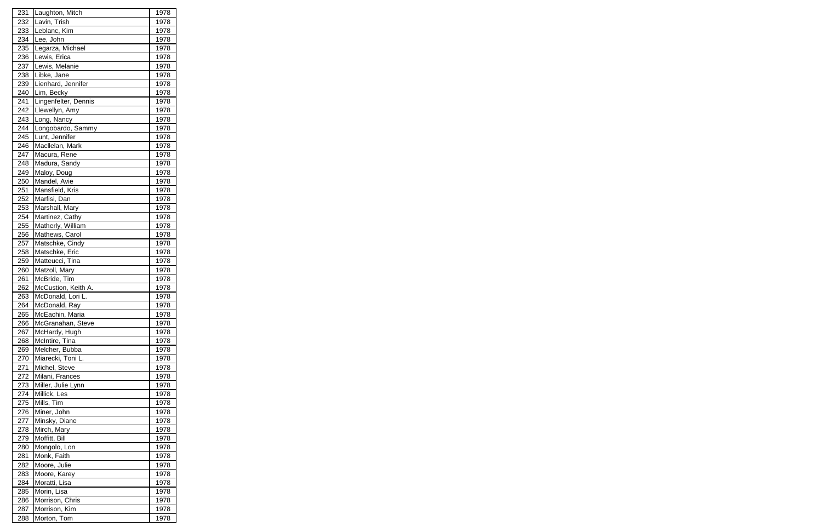| 231 | Laughton, Mitch      | 1978 |
|-----|----------------------|------|
| 232 | Lavin, Trish         | 1978 |
| 233 | Leblanc, Kim         | 1978 |
| 234 | Lee, John            | 1978 |
| 235 | Legarza, Michael     | 1978 |
| 236 | Lewis, Erica         | 1978 |
| 237 | Lewis, Melanie       | 1978 |
| 238 | Libke, Jane          | 1978 |
| 239 | Lienhard, Jennifer   | 1978 |
| 240 | Lim, Becky           | 1978 |
| 241 | Lingenfelter, Dennis | 1978 |
| 242 | Llewellyn, Amy       | 1978 |
| 243 | Long, Nancy          | 1978 |
| 244 | Longobardo, Sammy    | 1978 |
| 245 | Lunt, Jennifer       | 1978 |
| 246 | Macllelan, Mark      | 1978 |
| 247 | Macura, Rene         | 1978 |
| 248 | Madura, Sandy        | 1978 |
| 249 | Maloy, Doug          | 1978 |
| 250 | Mandel, Avie         | 1978 |
| 251 | Mansfield, Kris      | 1978 |
| 252 | Marfisi, Dan         | 1978 |
| 253 | Marshall, Mary       | 1978 |
| 254 | Martinez, Cathy      | 1978 |
| 255 | Matherly, William    | 1978 |
| 256 | Mathews, Carol       | 1978 |
| 257 | Matschke, Cindy      | 1978 |
| 258 | Matschke, Eric       | 1978 |
| 259 | Matteucci, Tina      | 1978 |
| 260 | Matzoll, Mary        | 1978 |
| 261 | McBride, Tim         | 1978 |
| 262 | McCustion, Keith A.  | 1978 |
| 263 | McDonald, Lori L.    | 1978 |
| 264 | McDonald, Ray        | 1978 |
| 265 | McEachin, Maria      | 1978 |
| 266 | McGranahan, Steve    | 1978 |
| 267 | McHardy, Hugh        | 1978 |
| 268 | McIntire, Tina       | 1978 |
| 269 | Melcher, Bubba       | 1978 |
| 270 | Miarecki, Toni L.    | 1978 |
| 271 | Michel, Steve        | 1978 |
| 272 | Milani, Frances      | 1978 |
| 273 | Miller, Julie Lynn   | 1978 |
| 274 | Millick, Les         | 1978 |
| 275 | Mills, Tim           | 1978 |
| 276 | Miner, John          | 1978 |
| 277 | Minsky, Diane        | 1978 |
| 278 | Mirch, Mary          | 1978 |
| 279 | Moffitt, Bill        | 1978 |
| 280 | Mongolo, Lon         | 1978 |
| 281 | Monk, Faith          | 1978 |
| 282 | Moore, Julie         | 1978 |
| 283 | Moore, Karey         | 1978 |
| 284 | Moratti, Lisa        | 1978 |
| 285 | Morin, Lisa          | 1978 |
| 286 | Morrison, Chris      | 1978 |
| 287 | Morrison, Kim        | 1978 |
| 288 | Morton, Tom          | 1978 |
|     |                      |      |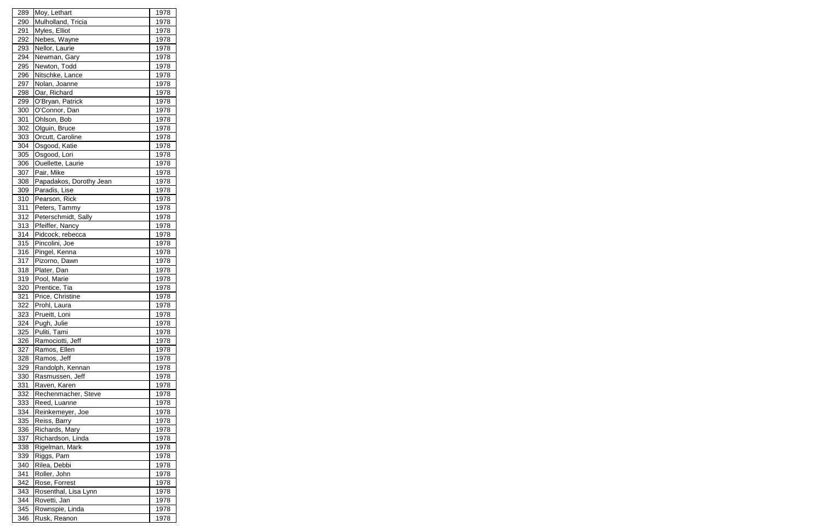| 289 | Moy, Lethart            | 1978        |
|-----|-------------------------|-------------|
| 290 | Mulholland, Tricia      | 1978        |
| 291 | Myles, Elliot           | 1978        |
| 292 | Nebes, Wayne            | 1978        |
| 293 | Nellor, Laurie          | 1978        |
| 294 | Newman, Gary            | 1978        |
| 295 | Newton, Todd            | 1978        |
| 296 | Nitschke, Lance         | 1978        |
| 297 | Nolan, Joanne           | 1978        |
| 298 | Oar, Richard            | 1978        |
| 299 | O'Bryan, Patrick        | 1978        |
| 300 | O'Connor, Dan           | 1978        |
| 301 | Ohlson, Bob             | 1978        |
| 302 | Olguin, Bruce           | 1978        |
| 303 | Orcutt, Caroline        | 1978        |
| 304 | Osgood, Katie           | 1978        |
| 305 | Osgood, Lori            | 1978        |
| 306 | Ouellette, Laurie       | 1978        |
| 307 | Pair, Mike              | 1978        |
| 308 | Papadakos, Dorothy Jean | 1978        |
| 309 | Paradis, Lise           | 1978        |
| 310 | Pearson, Rick           | 1978        |
| 311 | Peters, Tammy           | 1978        |
| 312 | Peterschmidt, Sally     | 1978        |
| 313 | Pfeiffer, Nancy         | 1978        |
| 314 | Pidcock, rebecca        | 1978        |
| 315 | Pincolini, Joe          | 1978        |
| 316 | Pingel, Kenna           | 1978        |
| 317 | Pizorno, Dawn           | 1978        |
| 318 | Plater, Dan             | 1978        |
| 319 | Pool, Marie             | 1978        |
| 320 | Prentice, Tia           | 1978        |
| 321 | Price, Christine        | 1978        |
| 322 | Prohl, Laura            | <u>1978</u> |
| 323 | Prueitt, Loni           | 1978        |
| 324 | Pugh, Julie             | 1978        |
| 325 | Puliti, Tami            | 1978        |
| 326 | Ramociotti, Jeff        | 1978        |
| 327 | Ramos, Ellen            | 1978        |
| 328 | Ramos, Jeff             | 1978        |
| 329 | Randolph, Kennan        | 1978        |
| 330 | Rasmussen, Jeff         | 1978        |
| 331 | Raven, Karen            | 1978        |
| 332 | Rechenmacher, Steve     | 1978        |
| 333 | Reed, Luanne            | 1978        |
| 334 | Reinkemeyer, Joe        | 1978        |
| 335 | Reiss, Barry            | 1978        |
| 336 | Richards, Mary          | 1978        |
| 337 | Richardson, Linda       | 1978        |
| 338 | Rigelman, Mark          | 1978        |
| 339 | Riggs, Pam              | 1978        |
| 340 | Rilea, Debbi            | 1978        |
| 341 | Roller, John            | 1978        |
| 342 | Rose, Forrest           | 1978        |
| 343 | Rosenthal, Lisa Lynn    | 1978        |
| 344 | Rovetti, Jan            | 1978        |
| 345 | Rownspie, Linda         | 1978        |
| 346 | Rusk, Reanon            | 1978        |
|     |                         |             |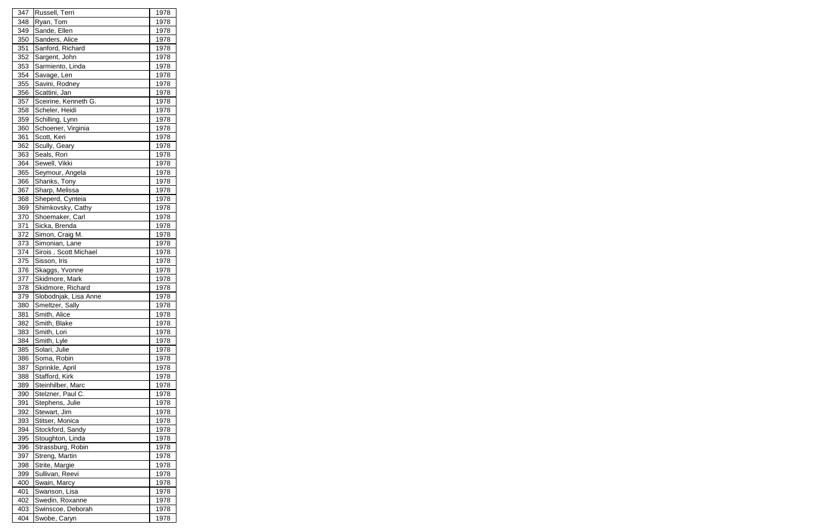| 347        | Russell, Terri        | 1978                |
|------------|-----------------------|---------------------|
| 348        | Ryan, Tom             | 1978                |
| 349        | Sande, Ellen          | 1978                |
| 350        | Sanders, Alice        | 1978                |
| 351        | Sanford, Richard      | 1978                |
| 352        | Sargent, John         | 1978                |
| 353        | Sarmiento, Linda      | 1978                |
| 354        | Savage, Len           | 1978                |
| 355        | Savini, Rodney        | 1978                |
| 356        | Scattini, Jan         | 1978                |
| 357        | Sceirine, Kenneth G.  | 1978                |
| 358        | Scheler, Heidi        | 1978                |
| 359        | Schilling, Lynn       | 1978                |
| 360        | Schoener, Virginia    | 1978                |
| 361        | Scott, Keri           | 1978                |
| 362        | Scully, Geary         | 1978                |
| 363        | Seals, Rori           | 1978                |
| 364        | Sewell, Vikki         | 1978                |
| 365        | Seymour, Angela       | 1978                |
| 366        | Shanks, Tony          | 1978                |
| 367        | Sharp, Melissa        | 1978                |
| 368        | Sheperd, Cynteia      | 1978                |
| 369        | Shimkovsky, Cathy     | 1978                |
| 370        | Shoemaker, Carl       | 1978                |
| 371        | Sicka, Brenda         | 1978                |
| 372        | Simon, Craig M.       | 1978                |
| 373        | Simonian, Lane        | 1978                |
| 374        | Sirois, Scott Michael | 1978                |
| 375        | Sisson, Iris          | 1978                |
| 376        | Skaggs, Yvonne        | 1978                |
| 377        | Skidmore, Mark        | 1978                |
| 378        | Skidmore, Richard     | 1978                |
| 379        | Slobodnjak, Lisa Anne | 1978                |
| 380        | Smeltzer, Sally       |                     |
| 381        | Smith, Alice          | <u>1978</u><br>1978 |
| 382        | Smith, Blake          | 1978                |
| 383        | Smith, Lori           | 1978                |
| 384        | Smith, Lyle           | 1978                |
| 385        | Solari, Julie         | 1978                |
| 386        | Soma, Robin           | 1978                |
| 387        | Sprinkle, April       | 1978                |
| 388        | Stafford, Kirk        | 1978                |
| 389        | Steinhilber, Marc     | 1978                |
| 390        | Stelzner, Paul C.     | 1978                |
| 391        | Stephens, Julie       | 1978                |
|            | Stewart, Jim          |                     |
| 392<br>393 | Stitser, Monica       | 1978<br>1978        |
| 394        | Stockford, Sandy      | 1978                |
|            |                       | 1978                |
| 395        | Stoughton, Linda      |                     |
| 396        | Strassburg, Robin     | 1978                |
| 397        | Streng, Martin        | 1978                |
| 398        | Strite, Margie        | 1978                |
| 399        | Sullivan, Reevi       | 1978                |
| 400        | Swain, Marcy          | 1978                |
| 401        | Swanson, Lisa         | 1978                |
| 402        | Swedin, Roxanne       | 1978                |
| 403        | Swinscoe, Deborah     | 1978                |
| 404        | Swobe, Caryn          | 1978                |